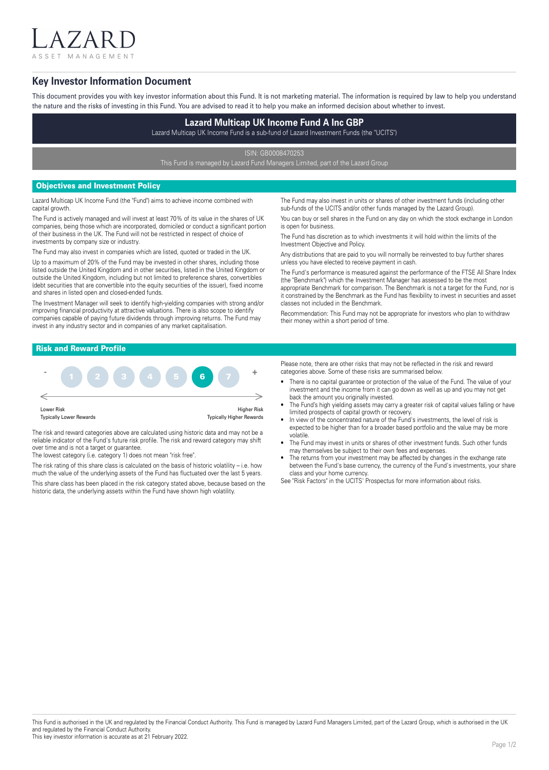$7$  A I ASSET MANAGEMENT

## **Key Investor Information Document**

This document provides you with key investor information about this Fund. It is not marketing material. The information is required by law to help you understand the nature and the risks of investing in this Fund. You are advised to read it to help you make an informed decision about whether to invest.

# **Lazard Multicap UK Income Fund A Inc GBP**

Lazard Multicap UK Income Fund is a sub-fund of Lazard Investment Funds (the "UCITS")

ISIN: GB0008470253

This Fund is managed by Lazard Fund Managers Limited, part of the Lazard Group

## Objectives and Investment Policy

Lazard Multicap UK Income Fund (the "Fund") aims to achieve income combined with capital growth.

The Fund is actively managed and will invest at least 70% of its value in the shares of UK companies, being those which are incorporated, domiciled or conduct a significant portion of their business in the UK. The Fund will not be restricted in respect of choice of investments by company size or industry.

The Fund may also invest in companies which are listed, quoted or traded in the UK. Up to a maximum of 20% of the Fund may be invested in other shares, including those listed outside the United Kingdom and in other securities, listed in the United Kingdom or outside the United Kingdom, including but not limited to preference shares, convertibles (debt securities that are convertible into the equity securities of the issuer), fixed income and shares in listed open and closed-ended funds.

The Investment Manager will seek to identify high-yielding companies with strong and/or improving financial productivity at attractive valuations. There is also scope to identify companies capable of paying future dividends through improving returns. The Fund may invest in any industry sector and in companies of any market capitalisation.

The Fund may also invest in units or shares of other investment funds (including other sub-funds of the UCITS and/or other funds managed by the Lazard Group).

You can buy or sell shares in the Fund on any day on which the stock exchange in London is open for business.

The Fund has discretion as to which investments it will hold within the limits of the Investment Objective and Policy.

Any distributions that are paid to you will normally be reinvested to buy further shares unless you have elected to receive payment in cash.

The Fund's performance is measured against the performance of the FTSE All Share Index (the "Benchmark") which the Investment Manager has assessed to be the most appropriate Benchmark for comparison. The Benchmark is not a target for the Fund, nor is it constrained by the Benchmark as the Fund has flexibility to invest in securities and asset classes not included in the Benchmark.

Recommendation: This Fund may not be appropriate for investors who plan to withdraw their money within a short period of time.

## Risk and Reward Profile



The risk and reward categories above are calculated using historic data and may not be a reliable indicator of the Fund's future risk profile. The risk and reward category may shift over time and is not a target or guarantee.

The lowest category (i.e. category 1) does not mean "risk free".

The risk rating of this share class is calculated on the basis of historic volatility – i.e. how much the value of the underlying assets of the Fund has fluctuated over the last 5 years. This share class has been placed in the risk category stated above, because based on the historic data, the underlying assets within the Fund have shown high volatility.

Please note, there are other risks that may not be reflected in the risk and reward categories above. Some of these risks are summarised below.

- There is no capital guarantee or protection of the value of the Fund. The value of your investment and the income from it can go down as well as up and you may not get back the amount you originally invested.
- The Fund's high yielding assets may carry a greater risk of capital values falling or have limited prospects of capital growth or recovery.
- In view of the concentrated nature of the Fund's investments, the level of risk is expected to be higher than for a broader based portfolio and the value may be more volatile.
- The Fund may invest in units or shares of other investment funds. Such other funds may themselves be subject to their own fees and expenses.
- The returns from your investment may be affected by changes in the exchange rate between the Fund's base currency, the currency of the Fund's investments, your share class and your home currency.

See "Risk Factors" in the UCITS' Prospectus for more information about risks.